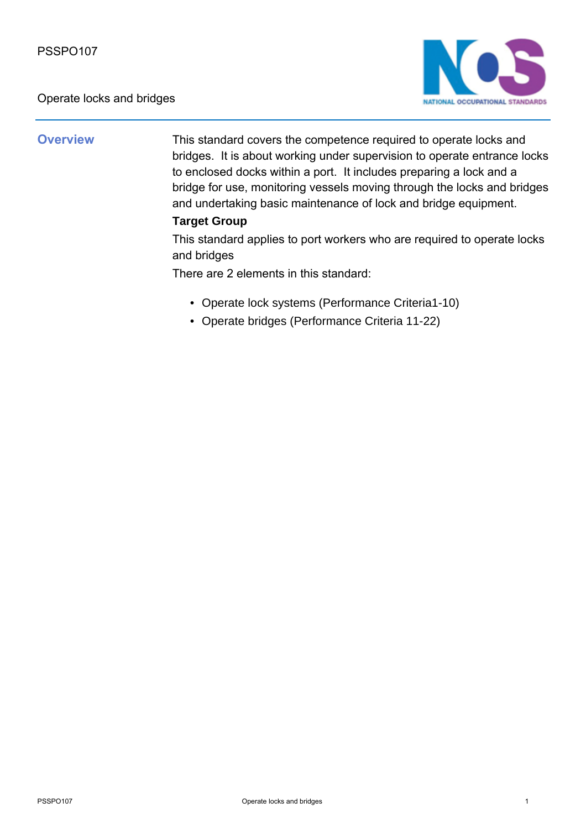Operate locks and bridges



**Overview** This standard covers the competence required to operate locks and bridges. It is about working under supervision to operate entrance locks to enclosed docks within a port. It includes preparing a lock and a bridge for use, monitoring vessels moving through the locks and bridges and undertaking basic maintenance of lock and bridge equipment.

## **Target Group**

This standard applies to port workers who are required to operate locks and bridges

There are 2 elements in this standard:

- Operate lock systems (Performance Criteria1-10)
- Operate bridges (Performance Criteria 11-22)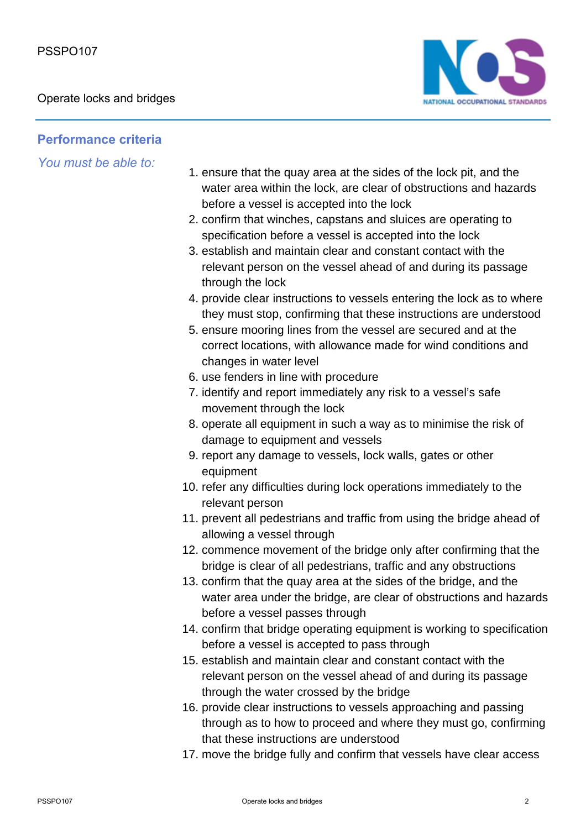

## **Performance criteria**

*You must be able to:*

- 1. ensure that the quay area at the sides of the lock pit, and the water area within the lock, are clear of obstructions and hazards before a vessel is accepted into the lock
- 2. confirm that winches, capstans and sluices are operating to specification before a vessel is accepted into the lock
- 3. establish and maintain clear and constant contact with the relevant person on the vessel ahead of and during its passage through the lock
- 4. provide clear instructions to vessels entering the lock as to where they must stop, confirming that these instructions are understood
- 5. ensure mooring lines from the vessel are secured and at the correct locations, with allowance made for wind conditions and changes in water level
- 6. use fenders in line with procedure
- 7. identify and report immediately any risk to a vessel's safe movement through the lock
- 8. operate all equipment in such a way as to minimise the risk of damage to equipment and vessels
- 9. report any damage to vessels, lock walls, gates or other equipment
- 10. refer any difficulties during lock operations immediately to the relevant person
- 11. prevent all pedestrians and traffic from using the bridge ahead of allowing a vessel through
- 12. commence movement of the bridge only after confirming that the bridge is clear of all pedestrians, traffic and any obstructions
- 13. confirm that the quay area at the sides of the bridge, and the water area under the bridge, are clear of obstructions and hazards before a vessel passes through
- 14. confirm that bridge operating equipment is working to specification before a vessel is accepted to pass through
- 15. establish and maintain clear and constant contact with the relevant person on the vessel ahead of and during its passage through the water crossed by the bridge
- 16. provide clear instructions to vessels approaching and passing through as to how to proceed and where they must go, confirming that these instructions are understood
- 17. move the bridge fully and confirm that vessels have clear access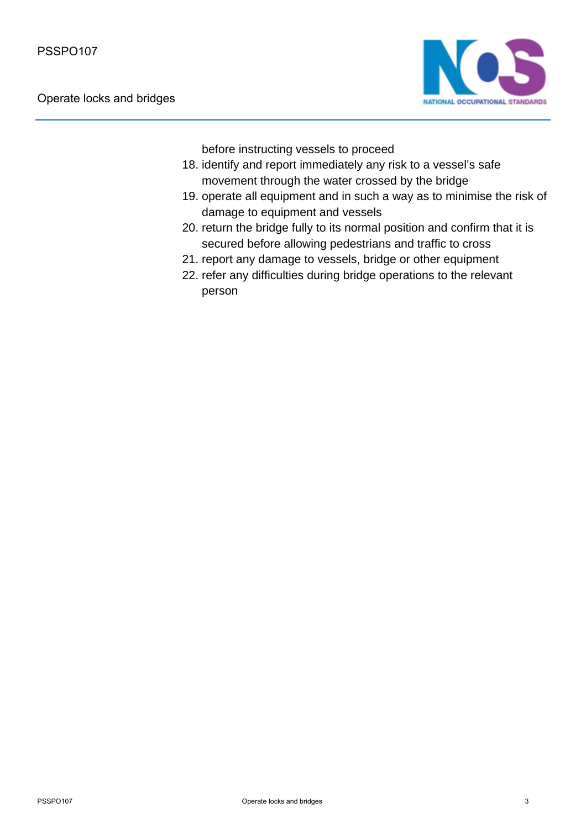

before instructing vessels to proceed

- 18. identify and report immediately any risk to a vessel's safe movement through the water crossed by the bridge
- 19. operate all equipment and in such a way as to minimise the risk of damage to equipment and vessels
- 20. return the bridge fully to its normal position and confirm that it is secured before allowing pedestrians and traffic to cross
- 21. report any damage to vessels, bridge or other equipment
- 22. refer any difficulties during bridge operations to the relevant person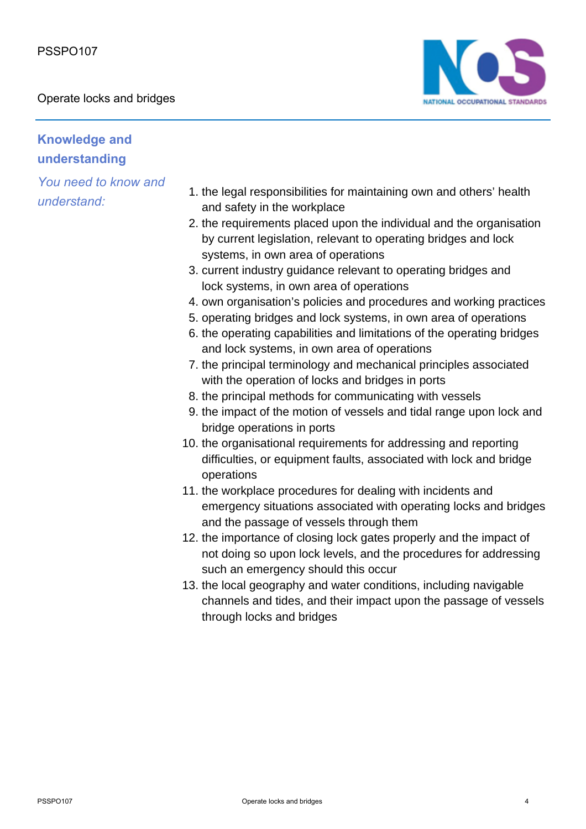Operate locks and bridges



## **Knowledge and understanding**

*You need to know and understand:*

- 1. the legal responsibilities for maintaining own and others' health and safety in the workplace
- 2. the requirements placed upon the individual and the organisation by current legislation, relevant to operating bridges and lock systems, in own area of operations
- 3. current industry guidance relevant to operating bridges and lock systems, in own area of operations
- 4. own organisation's policies and procedures and working practices
- 5. operating bridges and lock systems, in own area of operations
- 6. the operating capabilities and limitations of the operating bridges and lock systems, in own area of operations
- 7. the principal terminology and mechanical principles associated with the operation of locks and bridges in ports
- 8. the principal methods for communicating with vessels
- 9. the impact of the motion of vessels and tidal range upon lock and bridge operations in ports
- 10. the organisational requirements for addressing and reporting difficulties, or equipment faults, associated with lock and bridge operations
- 11. the workplace procedures for dealing with incidents and emergency situations associated with operating locks and bridges and the passage of vessels through them
- 12. the importance of closing lock gates properly and the impact of not doing so upon lock levels, and the procedures for addressing such an emergency should this occur
- 13. the local geography and water conditions, including navigable channels and tides, and their impact upon the passage of vessels through locks and bridges